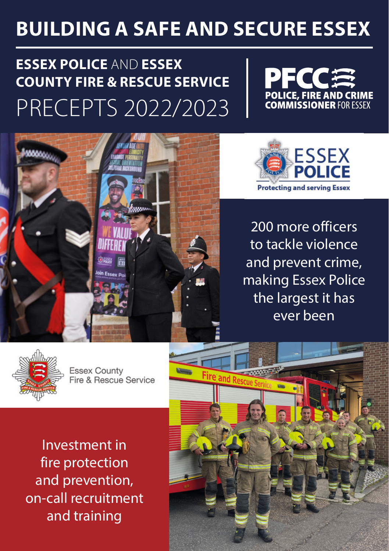# **BUILDING A SAFE AND SECURE ESSEX**

# **ESSEX POLICE** AND **ESSEX COUNTY FIRE & RESCUE SERVICE** PRECEPTS 2022/2023





200 more officers to tackle violence and prevent crime, making Essex Police the largest it has ever been



**Essex County** Fire & Rescue Service

Investment in fire protection and prevention, on-call recruitment and training

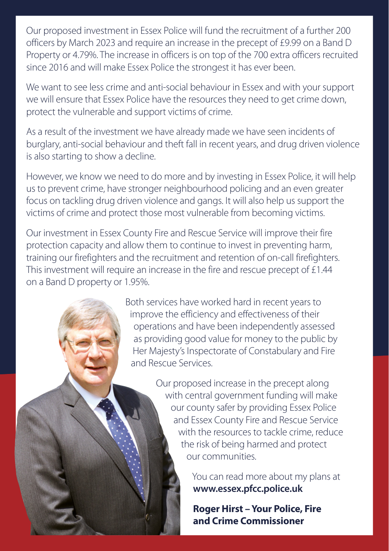Our proposed investment in Essex Police will fund the recruitment of a further 200 officers by March 2023 and require an increase in the precept of £9.99 on a Band D Property or 4.79%. The increase in officers is on top of the 700 extra officers recruited since 2016 and will make Essex Police the strongest it has ever been.

We want to see less crime and anti-social behaviour in Essex and with your support we will ensure that Essex Police have the resources they need to get crime down, protect the vulnerable and support victims of crime.

As a result of the investment we have already made we have seen incidents of burglary, anti-social behaviour and theft fall in recent years, and drug driven violence is also starting to show a decline.

However, we know we need to do more and by investing in Essex Police, it will help us to prevent crime, have stronger neighbourhood policing and an even greater focus on tackling drug driven violence and gangs. It will also help us support the victims of crime and protect those most vulnerable from becoming victims.

Our investment in Essex County Fire and Rescue Service will improve their fire protection capacity and allow them to continue to invest in preventing harm, training our firefighters and the recruitment and retention of on-call firefighters. This investment will require an increase in the fire and rescue precept of £1.44 on a Band D property or 1.95%.

> Both services have worked hard in recent years to improve the efficiency and effectiveness of their operations and have been independently assessed as providing good value for money to the public by Her Majesty's Inspectorate of Constabulary and Fire and Rescue Services.

> > Our proposed increase in the precept along with central government funding will make our county safer by providing Essex Police and Essex County Fire and Rescue Service with the resources to tackle crime, reduce the risk of being harmed and protect our communities.

> > > You can read more about my plans at **www.essex.pfcc.police.uk**

**Roger Hirst – Your Police, Fire and Crime Commissioner**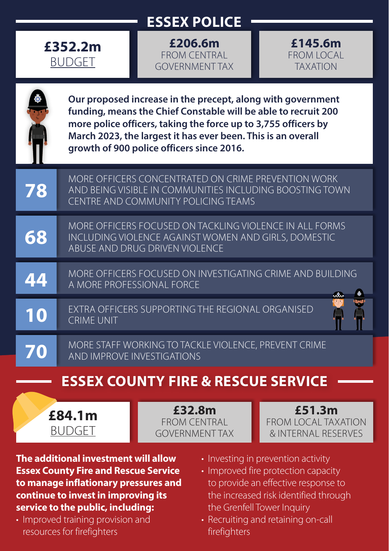## **ESSEX POLICE**



**£206.6m** FROM CENTRAL GOVERNMENT TAX



|    | Our proposed increase in the precept, along with government<br>funding, means the Chief Constable will be able to recruit 200<br>more police officers, taking the force up to 3,755 officers by<br>March 2023, the largest it has ever been. This is an overall<br>growth of 900 police officers since 2016. |
|----|--------------------------------------------------------------------------------------------------------------------------------------------------------------------------------------------------------------------------------------------------------------------------------------------------------------|
| 78 | MORE OFFICERS CONCENTRATED ON CRIME PREVENTION WORK<br>AND BEING VISIBLE IN COMMUNITIES INCLUDING BOOSTING TOWN<br>CENTRE AND COMMUNITY POLICING TEAMS                                                                                                                                                       |
| 68 | MORE OFFICERS FOCUSED ON TACKLING VIOLENCE IN ALL FORMS<br>INCLUDING VIOLENCE AGAINST WOMEN AND GIRLS, DOMESTIC<br>ABUSE AND DRUG DRIVEN VIOLENCE                                                                                                                                                            |
| 44 | MORE OFFICERS FOCUSED ON INVESTIGATING CRIME AND BUILDING<br>A MORE PROFESSIONAL FORCE                                                                                                                                                                                                                       |
| 10 | EXTRA OFFICERS SUPPORTING THE REGIONAL ORGANISED<br><b>CRIME UNIT</b>                                                                                                                                                                                                                                        |
| 70 | MORE STAFF WORKING TO TACKLE VIOLENCE, PREVENT CRIME<br>AND IMPROVE INVESTIGATIONS                                                                                                                                                                                                                           |
|    | <b>ESSEX COUNTY FIRE &amp; RESCUE SERVICE</b>                                                                                                                                                                                                                                                                |

**£84.1m** BUDGET

**£32.8m** FROM CENTRAL GOVERNMENT TAX

**£51.3m** FROM LOCAL TAXATION & INTERNAL RESERVES

**The additional investment will allow Essex County Fire and Rescue Service to manage inflationary pressures and continue to invest in improving its service to the public, including:**

• Improved training provision and resources for firefighters

- Investing in prevention activity
- Improved fire protection capacity to provide an effective response to the increased risk identified through the Grenfell Tower Inquiry
- Recruiting and retaining on-call firefighters